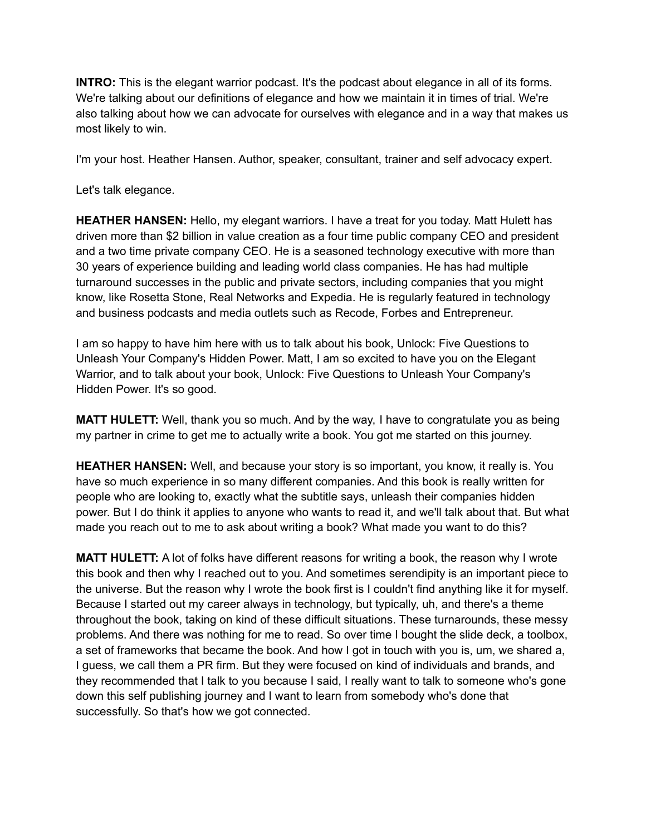**INTRO:** This is the elegant warrior podcast. It's the podcast about elegance in all of its forms. We're talking about our definitions of elegance and how we maintain it in times of trial. We're also talking about how we can advocate for ourselves with elegance and in a way that makes us most likely to win.

I'm your host. Heather Hansen. Author, speaker, consultant, trainer and self advocacy expert.

Let's talk elegance.

**HEATHER HANSEN:** Hello, my elegant warriors. I have a treat for you today. Matt Hulett has driven more than \$2 billion in value creation as a four time public company CEO and president and a two time private company CEO. He is a seasoned technology executive with more than 30 years of experience building and leading world class companies. He has had multiple turnaround successes in the public and private sectors, including companies that you might know, like Rosetta Stone, Real Networks and Expedia. He is regularly featured in technology and business podcasts and media outlets such as Recode, Forbes and Entrepreneur.

I am so happy to have him here with us to talk about his book, Unlock: Five Questions to Unleash Your Company's Hidden Power. Matt, I am so excited to have you on the Elegant Warrior, and to talk about your book, Unlock: Five Questions to Unleash Your Company's Hidden Power. It's so good.

**MATT HULETT:** Well, thank you so much. And by the way, I have to congratulate you as being my partner in crime to get me to actually write a book. You got me started on this journey.

**HEATHER HANSEN:** Well, and because your story is so important, you know, it really is. You have so much experience in so many different companies. And this book is really written for people who are looking to, exactly what the subtitle says, unleash their companies hidden power. But I do think it applies to anyone who wants to read it, and we'll talk about that. But what made you reach out to me to ask about writing a book? What made you want to do this?

**MATT HULETT:** A lot of folks have different reasons for writing a book, the reason why I wrote this book and then why I reached out to you. And sometimes serendipity is an important piece to the universe. But the reason why I wrote the book first is I couldn't find anything like it for myself. Because I started out my career always in technology, but typically, uh, and there's a theme throughout the book, taking on kind of these difficult situations. These turnarounds, these messy problems. And there was nothing for me to read. So over time I bought the slide deck, a toolbox, a set of frameworks that became the book. And how I got in touch with you is, um, we shared a, I guess, we call them a PR firm. But they were focused on kind of individuals and brands, and they recommended that I talk to you because I said, I really want to talk to someone who's gone down this self publishing journey and I want to learn from somebody who's done that successfully. So that's how we got connected.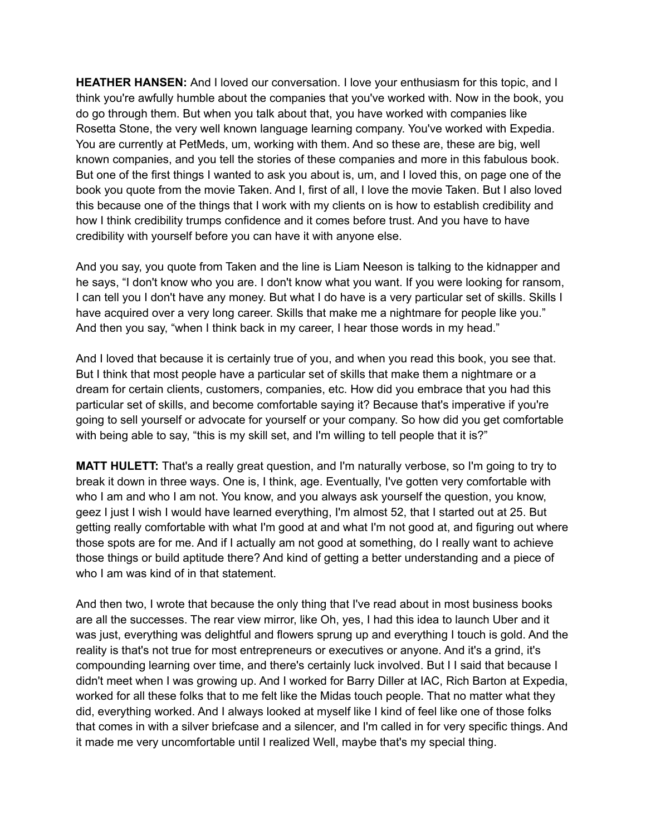**HEATHER HANSEN:** And I loved our conversation. I love your enthusiasm for this topic, and I think you're awfully humble about the companies that you've worked with. Now in the book, you do go through them. But when you talk about that, you have worked with companies like Rosetta Stone, the very well known language learning company. You've worked with Expedia. You are currently at PetMeds, um, working with them. And so these are, these are big, well known companies, and you tell the stories of these companies and more in this fabulous book. But one of the first things I wanted to ask you about is, um, and I loved this, on page one of the book you quote from the movie Taken. And I, first of all, I love the movie Taken. But I also loved this because one of the things that I work with my clients on is how to establish credibility and how I think credibility trumps confidence and it comes before trust. And you have to have credibility with yourself before you can have it with anyone else.

And you say, you quote from Taken and the line is Liam Neeson is talking to the kidnapper and he says, "I don't know who you are. I don't know what you want. If you were looking for ransom, I can tell you I don't have any money. But what I do have is a very particular set of skills. Skills I have acquired over a very long career. Skills that make me a nightmare for people like you." And then you say, "when I think back in my career, I hear those words in my head."

And I loved that because it is certainly true of you, and when you read this book, you see that. But I think that most people have a particular set of skills that make them a nightmare or a dream for certain clients, customers, companies, etc. How did you embrace that you had this particular set of skills, and become comfortable saying it? Because that's imperative if you're going to sell yourself or advocate for yourself or your company. So how did you get comfortable with being able to say, "this is my skill set, and I'm willing to tell people that it is?"

**MATT HULETT:** That's a really great question, and I'm naturally verbose, so I'm going to try to break it down in three ways. One is, I think, age. Eventually, I've gotten very comfortable with who I am and who I am not. You know, and you always ask yourself the question, you know, geez I just I wish I would have learned everything, I'm almost 52, that I started out at 25. But getting really comfortable with what I'm good at and what I'm not good at, and figuring out where those spots are for me. And if I actually am not good at something, do I really want to achieve those things or build aptitude there? And kind of getting a better understanding and a piece of who I am was kind of in that statement.

And then two, I wrote that because the only thing that I've read about in most business books are all the successes. The rear view mirror, like Oh, yes, I had this idea to launch Uber and it was just, everything was delightful and flowers sprung up and everything I touch is gold. And the reality is that's not true for most entrepreneurs or executives or anyone. And it's a grind, it's compounding learning over time, and there's certainly luck involved. But I I said that because I didn't meet when I was growing up. And I worked for Barry Diller at IAC, Rich Barton at Expedia, worked for all these folks that to me felt like the Midas touch people. That no matter what they did, everything worked. And I always looked at myself like I kind of feel like one of those folks that comes in with a silver briefcase and a silencer, and I'm called in for very specific things. And it made me very uncomfortable until I realized Well, maybe that's my special thing.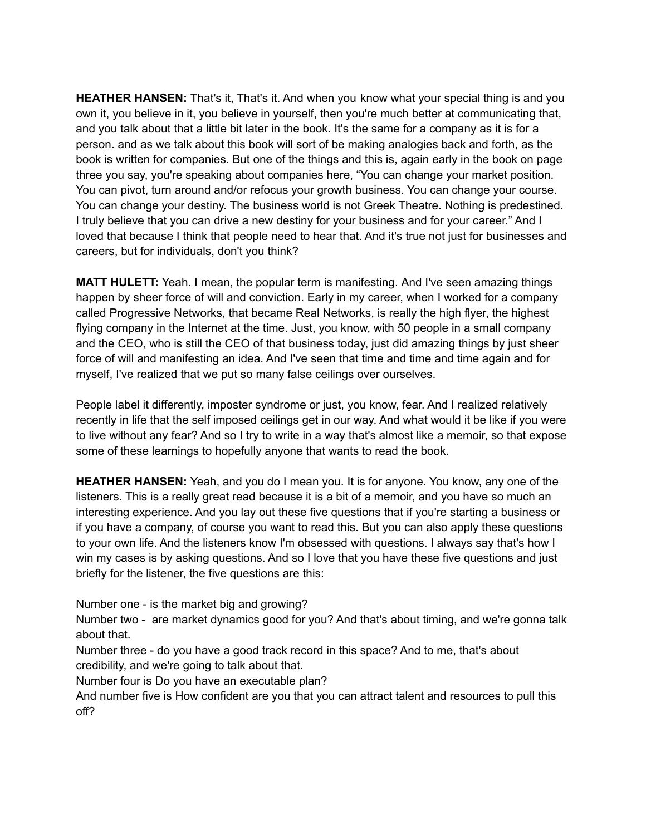**HEATHER HANSEN:** That's it, That's it. And when you know what your special thing is and you own it, you believe in it, you believe in yourself, then you're much better at communicating that, and you talk about that a little bit later in the book. It's the same for a company as it is for a person. and as we talk about this book will sort of be making analogies back and forth, as the book is written for companies. But one of the things and this is, again early in the book on page three you say, you're speaking about companies here, "You can change your market position. You can pivot, turn around and/or refocus your growth business. You can change your course. You can change your destiny. The business world is not Greek Theatre. Nothing is predestined. I truly believe that you can drive a new destiny for your business and for your career." And I loved that because I think that people need to hear that. And it's true not just for businesses and careers, but for individuals, don't you think?

**MATT HULETT:** Yeah. I mean, the popular term is manifesting. And I've seen amazing things happen by sheer force of will and conviction. Early in my career, when I worked for a company called Progressive Networks, that became Real Networks, is really the high flyer, the highest flying company in the Internet at the time. Just, you know, with 50 people in a small company and the CEO, who is still the CEO of that business today, just did amazing things by just sheer force of will and manifesting an idea. And I've seen that time and time and time again and for myself, I've realized that we put so many false ceilings over ourselves.

People label it differently, imposter syndrome or just, you know, fear. And I realized relatively recently in life that the self imposed ceilings get in our way. And what would it be like if you were to live without any fear? And so I try to write in a way that's almost like a memoir, so that expose some of these learnings to hopefully anyone that wants to read the book.

**HEATHER HANSEN:** Yeah, and you do I mean you. It is for anyone. You know, any one of the listeners. This is a really great read because it is a bit of a memoir, and you have so much an interesting experience. And you lay out these five questions that if you're starting a business or if you have a company, of course you want to read this. But you can also apply these questions to your own life. And the listeners know I'm obsessed with questions. I always say that's how I win my cases is by asking questions. And so I love that you have these five questions and just briefly for the listener, the five questions are this:

Number one - is the market big and growing?

Number two - are market dynamics good for you? And that's about timing, and we're gonna talk about that.

Number three - do you have a good track record in this space? And to me, that's about credibility, and we're going to talk about that.

Number four is Do you have an executable plan?

And number five is How confident are you that you can attract talent and resources to pull this off?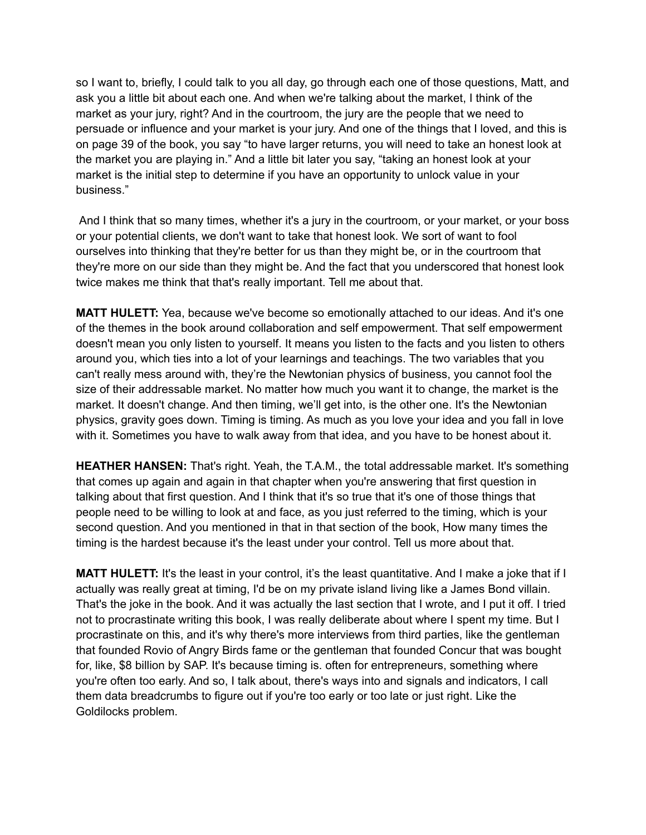so I want to, briefly, I could talk to you all day, go through each one of those questions, Matt, and ask you a little bit about each one. And when we're talking about the market, I think of the market as your jury, right? And in the courtroom, the jury are the people that we need to persuade or influence and your market is your jury. And one of the things that I loved, and this is on page 39 of the book, you say "to have larger returns, you will need to take an honest look at the market you are playing in." And a little bit later you say, "taking an honest look at your market is the initial step to determine if you have an opportunity to unlock value in your business."

And I think that so many times, whether it's a jury in the courtroom, or your market, or your boss or your potential clients, we don't want to take that honest look. We sort of want to fool ourselves into thinking that they're better for us than they might be, or in the courtroom that they're more on our side than they might be. And the fact that you underscored that honest look twice makes me think that that's really important. Tell me about that.

**MATT HULETT:** Yea, because we've become so emotionally attached to our ideas. And it's one of the themes in the book around collaboration and self empowerment. That self empowerment doesn't mean you only listen to yourself. It means you listen to the facts and you listen to others around you, which ties into a lot of your learnings and teachings. The two variables that you can't really mess around with, they're the Newtonian physics of business, you cannot fool the size of their addressable market. No matter how much you want it to change, the market is the market. It doesn't change. And then timing, we'll get into, is the other one. It's the Newtonian physics, gravity goes down. Timing is timing. As much as you love your idea and you fall in love with it. Sometimes you have to walk away from that idea, and you have to be honest about it.

**HEATHER HANSEN:** That's right. Yeah, the T.A.M., the total addressable market. It's something that comes up again and again in that chapter when you're answering that first question in talking about that first question. And I think that it's so true that it's one of those things that people need to be willing to look at and face, as you just referred to the timing, which is your second question. And you mentioned in that in that section of the book, How many times the timing is the hardest because it's the least under your control. Tell us more about that.

**MATT HULETT:** It's the least in your control, it's the least quantitative. And I make a joke that if I actually was really great at timing, I'd be on my private island living like a James Bond villain. That's the joke in the book. And it was actually the last section that I wrote, and I put it off. I tried not to procrastinate writing this book, I was really deliberate about where I spent my time. But I procrastinate on this, and it's why there's more interviews from third parties, like the gentleman that founded Rovio of Angry Birds fame or the gentleman that founded Concur that was bought for, like, \$8 billion by SAP. It's because timing is. often for entrepreneurs, something where you're often too early. And so, I talk about, there's ways into and signals and indicators, I call them data breadcrumbs to figure out if you're too early or too late or just right. Like the Goldilocks problem.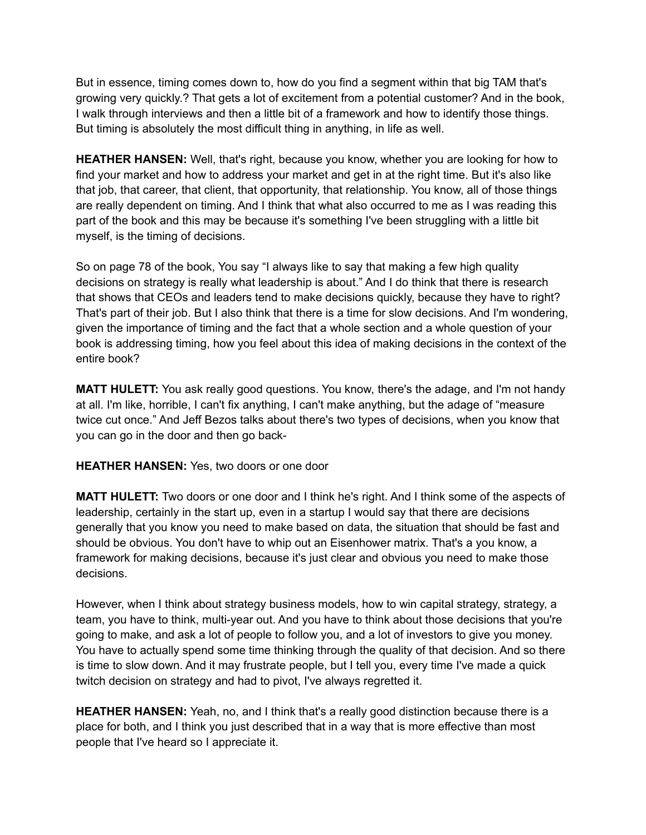But in essence, timing comes down to, how do you find a segment within that big TAM that's growing very quickly.? That gets a lot of excitement from a potential customer? And in the book, I walk through interviews and then a little bit of a framework and how to identify those things. But timing is absolutely the most difficult thing in anything, in life as well.

**HEATHER HANSEN:** Well, that's right, because you know, whether you are looking for how to find your market and how to address your market and get in at the right time. But it's also like that job, that career, that client, that opportunity, that relationship. You know, all of those things are really dependent on timing. And I think that what also occurred to me as I was reading this part of the book and this may be because it's something I've been struggling with a little bit myself, is the timing of decisions.

So on page 78 of the book, You say "I always like to say that making a few high quality decisions on strategy is really what leadership is about." And I do think that there is research that shows that CEOs and leaders tend to make decisions quickly, because they have to right? That's part of their job. But I also think that there is a time for slow decisions. And I'm wondering, given the importance of timing and the fact that a whole section and a whole question of your book is addressing timing, how you feel about this idea of making decisions in the context of the entire book?

**MATT HULETT:** You ask really good questions. You know, there's the adage, and I'm not handy at all. I'm like, horrible, I can't fix anything, I can't make anything, but the adage of "measure twice cut once." And Jeff Bezos talks about there's two types of decisions, when you know that you can go in the door and then go back-

**HEATHER HANSEN:** Yes, two doors or one door

**MATT HULETT:** Two doors or one door and I think he's right. And I think some of the aspects of leadership, certainly in the start up, even in a startup I would say that there are decisions generally that you know you need to make based on data, the situation that should be fast and should be obvious. You don't have to whip out an Eisenhower matrix. That's a you know, a framework for making decisions, because it's just clear and obvious you need to make those decisions.

However, when I think about strategy business models, how to win capital strategy, strategy, a team, you have to think, multi-year out. And you have to think about those decisions that you're going to make, and ask a lot of people to follow you, and a lot of investors to give you money. You have to actually spend some time thinking through the quality of that decision. And so there is time to slow down. And it may frustrate people, but I tell you, every time I've made a quick twitch decision on strategy and had to pivot, I've always regretted it.

**HEATHER HANSEN:** Yeah, no, and I think that's a really good distinction because there is a place for both, and I think you just described that in a way that is more effective than most people that I've heard so I appreciate it.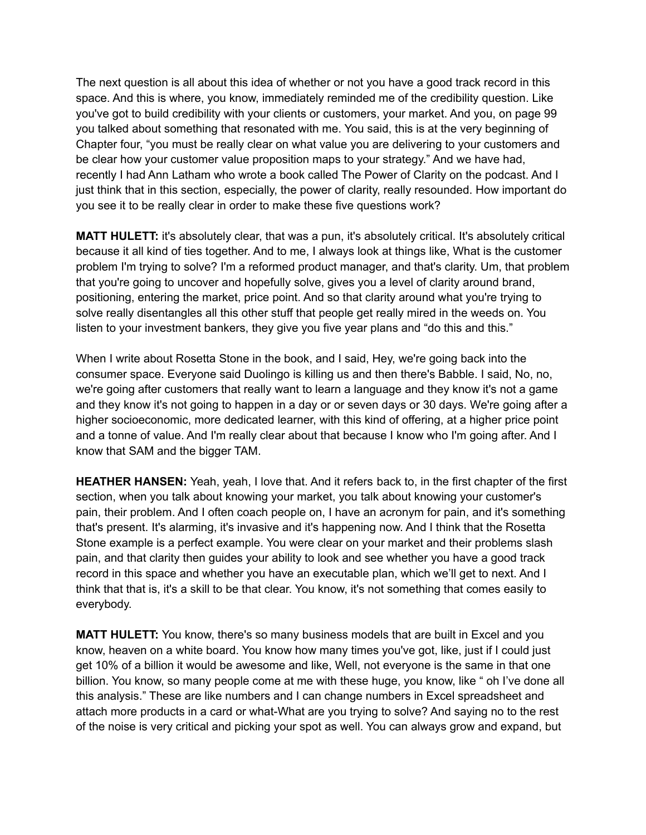The next question is all about this idea of whether or not you have a good track record in this space. And this is where, you know, immediately reminded me of the credibility question. Like you've got to build credibility with your clients or customers, your market. And you, on page 99 you talked about something that resonated with me. You said, this is at the very beginning of Chapter four, "you must be really clear on what value you are delivering to your customers and be clear how your customer value proposition maps to your strategy." And we have had, recently I had Ann Latham who wrote a book called The Power of Clarity on the podcast. And I just think that in this section, especially, the power of clarity, really resounded. How important do you see it to be really clear in order to make these five questions work?

**MATT HULETT:** it's absolutely clear, that was a pun, it's absolutely critical. It's absolutely critical because it all kind of ties together. And to me, I always look at things like, What is the customer problem I'm trying to solve? I'm a reformed product manager, and that's clarity. Um, that problem that you're going to uncover and hopefully solve, gives you a level of clarity around brand, positioning, entering the market, price point. And so that clarity around what you're trying to solve really disentangles all this other stuff that people get really mired in the weeds on. You listen to your investment bankers, they give you five year plans and "do this and this."

When I write about Rosetta Stone in the book, and I said, Hey, we're going back into the consumer space. Everyone said Duolingo is killing us and then there's Babble. I said, No, no, we're going after customers that really want to learn a language and they know it's not a game and they know it's not going to happen in a day or or seven days or 30 days. We're going after a higher socioeconomic, more dedicated learner, with this kind of offering, at a higher price point and a tonne of value. And I'm really clear about that because I know who I'm going after. And I know that SAM and the bigger TAM.

**HEATHER HANSEN:** Yeah, yeah, I love that. And it refers back to, in the first chapter of the first section, when you talk about knowing your market, you talk about knowing your customer's pain, their problem. And I often coach people on, I have an acronym for pain, and it's something that's present. It's alarming, it's invasive and it's happening now. And I think that the Rosetta Stone example is a perfect example. You were clear on your market and their problems slash pain, and that clarity then guides your ability to look and see whether you have a good track record in this space and whether you have an executable plan, which we'll get to next. And I think that that is, it's a skill to be that clear. You know, it's not something that comes easily to everybody.

**MATT HULETT:** You know, there's so many business models that are built in Excel and you know, heaven on a white board. You know how many times you've got, like, just if I could just get 10% of a billion it would be awesome and like, Well, not everyone is the same in that one billion. You know, so many people come at me with these huge, you know, like " oh I've done all this analysis." These are like numbers and I can change numbers in Excel spreadsheet and attach more products in a card or what-What are you trying to solve? And saying no to the rest of the noise is very critical and picking your spot as well. You can always grow and expand, but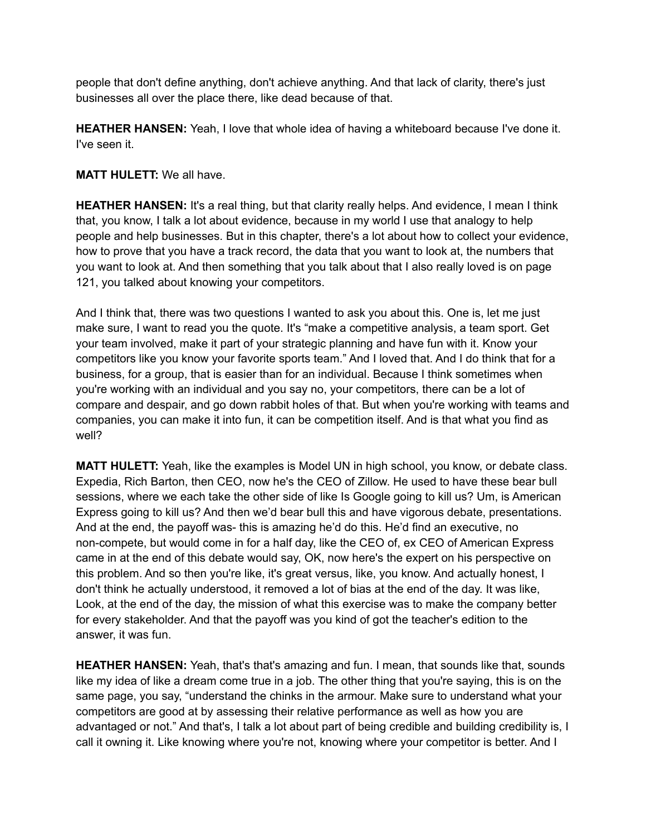people that don't define anything, don't achieve anything. And that lack of clarity, there's just businesses all over the place there, like dead because of that.

**HEATHER HANSEN:** Yeah, I love that whole idea of having a whiteboard because I've done it. I've seen it.

## **MATT HULETT:** We all have.

**HEATHER HANSEN:** It's a real thing, but that clarity really helps. And evidence, I mean I think that, you know, I talk a lot about evidence, because in my world I use that analogy to help people and help businesses. But in this chapter, there's a lot about how to collect your evidence, how to prove that you have a track record, the data that you want to look at, the numbers that you want to look at. And then something that you talk about that I also really loved is on page 121, you talked about knowing your competitors.

And I think that, there was two questions I wanted to ask you about this. One is, let me just make sure, I want to read you the quote. It's "make a competitive analysis, a team sport. Get your team involved, make it part of your strategic planning and have fun with it. Know your competitors like you know your favorite sports team." And I loved that. And I do think that for a business, for a group, that is easier than for an individual. Because I think sometimes when you're working with an individual and you say no, your competitors, there can be a lot of compare and despair, and go down rabbit holes of that. But when you're working with teams and companies, you can make it into fun, it can be competition itself. And is that what you find as well?

**MATT HULETT:** Yeah, like the examples is Model UN in high school, you know, or debate class. Expedia, Rich Barton, then CEO, now he's the CEO of Zillow. He used to have these bear bull sessions, where we each take the other side of like Is Google going to kill us? Um, is American Express going to kill us? And then we'd bear bull this and have vigorous debate, presentations. And at the end, the payoff was- this is amazing he'd do this. He'd find an executive, no non-compete, but would come in for a half day, like the CEO of, ex CEO of American Express came in at the end of this debate would say, OK, now here's the expert on his perspective on this problem. And so then you're like, it's great versus, like, you know. And actually honest, I don't think he actually understood, it removed a lot of bias at the end of the day. It was like, Look, at the end of the day, the mission of what this exercise was to make the company better for every stakeholder. And that the payoff was you kind of got the teacher's edition to the answer, it was fun.

**HEATHER HANSEN:** Yeah, that's that's amazing and fun. I mean, that sounds like that, sounds like my idea of like a dream come true in a job. The other thing that you're saying, this is on the same page, you say, "understand the chinks in the armour. Make sure to understand what your competitors are good at by assessing their relative performance as well as how you are advantaged or not." And that's, I talk a lot about part of being credible and building credibility is, I call it owning it. Like knowing where you're not, knowing where your competitor is better. And I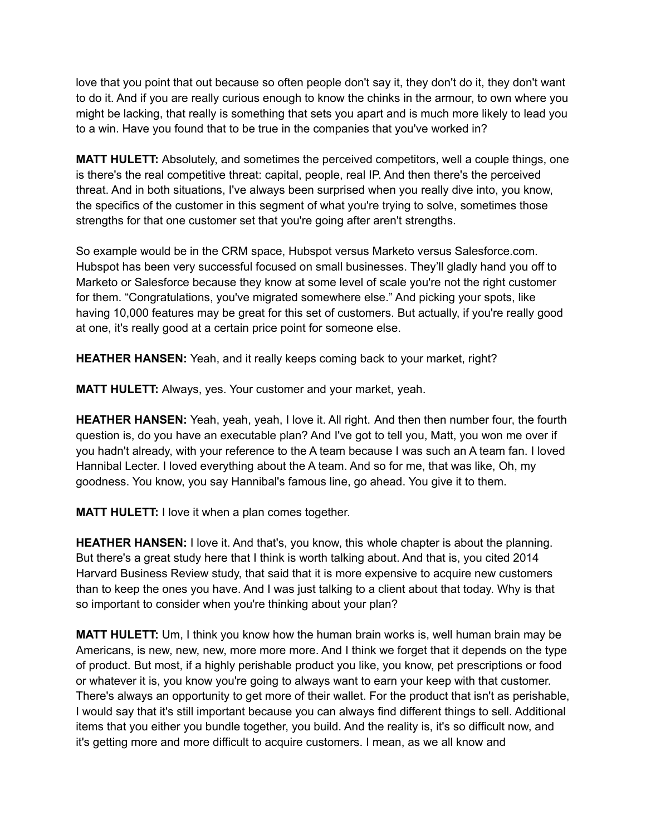love that you point that out because so often people don't say it, they don't do it, they don't want to do it. And if you are really curious enough to know the chinks in the armour, to own where you might be lacking, that really is something that sets you apart and is much more likely to lead you to a win. Have you found that to be true in the companies that you've worked in?

**MATT HULETT:** Absolutely, and sometimes the perceived competitors, well a couple things, one is there's the real competitive threat: capital, people, real IP. And then there's the perceived threat. And in both situations, I've always been surprised when you really dive into, you know, the specifics of the customer in this segment of what you're trying to solve, sometimes those strengths for that one customer set that you're going after aren't strengths.

So example would be in the CRM space, Hubspot versus Marketo versus Salesforce.com. Hubspot has been very successful focused on small businesses. They'll gladly hand you off to Marketo or Salesforce because they know at some level of scale you're not the right customer for them. "Congratulations, you've migrated somewhere else." And picking your spots, like having 10,000 features may be great for this set of customers. But actually, if you're really good at one, it's really good at a certain price point for someone else.

**HEATHER HANSEN:** Yeah, and it really keeps coming back to your market, right?

**MATT HULETT:** Always, yes. Your customer and your market, yeah.

**HEATHER HANSEN:** Yeah, yeah, yeah, I love it. All right. And then then number four, the fourth question is, do you have an executable plan? And I've got to tell you, Matt, you won me over if you hadn't already, with your reference to the A team because I was such an A team fan. I loved Hannibal Lecter. I loved everything about the A team. And so for me, that was like, Oh, my goodness. You know, you say Hannibal's famous line, go ahead. You give it to them.

**MATT HULETT:** I love it when a plan comes together.

**HEATHER HANSEN:** I love it. And that's, you know, this whole chapter is about the planning. But there's a great study here that I think is worth talking about. And that is, you cited 2014 Harvard Business Review study, that said that it is more expensive to acquire new customers than to keep the ones you have. And I was just talking to a client about that today. Why is that so important to consider when you're thinking about your plan?

**MATT HULETT:** Um, I think you know how the human brain works is, well human brain may be Americans, is new, new, new, more more more. And I think we forget that it depends on the type of product. But most, if a highly perishable product you like, you know, pet prescriptions or food or whatever it is, you know you're going to always want to earn your keep with that customer. There's always an opportunity to get more of their wallet. For the product that isn't as perishable, I would say that it's still important because you can always find different things to sell. Additional items that you either you bundle together, you build. And the reality is, it's so difficult now, and it's getting more and more difficult to acquire customers. I mean, as we all know and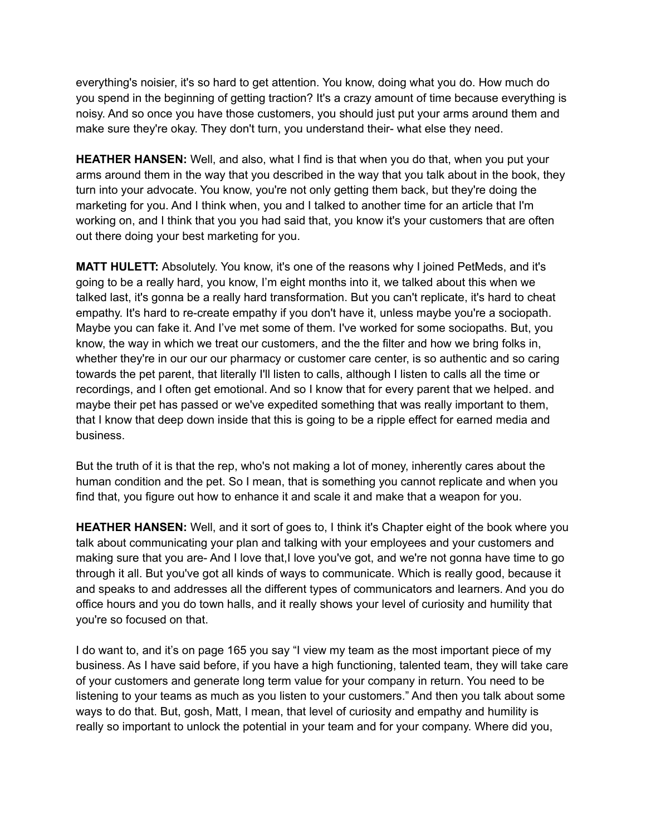everything's noisier, it's so hard to get attention. You know, doing what you do. How much do you spend in the beginning of getting traction? It's a crazy amount of time because everything is noisy. And so once you have those customers, you should just put your arms around them and make sure they're okay. They don't turn, you understand their- what else they need.

**HEATHER HANSEN:** Well, and also, what I find is that when you do that, when you put your arms around them in the way that you described in the way that you talk about in the book, they turn into your advocate. You know, you're not only getting them back, but they're doing the marketing for you. And I think when, you and I talked to another time for an article that I'm working on, and I think that you you had said that, you know it's your customers that are often out there doing your best marketing for you.

**MATT HULETT:** Absolutely. You know, it's one of the reasons why I joined PetMeds, and it's going to be a really hard, you know, I'm eight months into it, we talked about this when we talked last, it's gonna be a really hard transformation. But you can't replicate, it's hard to cheat empathy. It's hard to re-create empathy if you don't have it, unless maybe you're a sociopath. Maybe you can fake it. And I've met some of them. I've worked for some sociopaths. But, you know, the way in which we treat our customers, and the the filter and how we bring folks in, whether they're in our our our pharmacy or customer care center, is so authentic and so caring towards the pet parent, that literally I'll listen to calls, although I listen to calls all the time or recordings, and I often get emotional. And so I know that for every parent that we helped. and maybe their pet has passed or we've expedited something that was really important to them, that I know that deep down inside that this is going to be a ripple effect for earned media and business.

But the truth of it is that the rep, who's not making a lot of money, inherently cares about the human condition and the pet. So I mean, that is something you cannot replicate and when you find that, you figure out how to enhance it and scale it and make that a weapon for you.

**HEATHER HANSEN:** Well, and it sort of goes to, I think it's Chapter eight of the book where you talk about communicating your plan and talking with your employees and your customers and making sure that you are- And I love that,I love you've got, and we're not gonna have time to go through it all. But you've got all kinds of ways to communicate. Which is really good, because it and speaks to and addresses all the different types of communicators and learners. And you do office hours and you do town halls, and it really shows your level of curiosity and humility that you're so focused on that.

I do want to, and it's on page 165 you say "I view my team as the most important piece of my business. As I have said before, if you have a high functioning, talented team, they will take care of your customers and generate long term value for your company in return. You need to be listening to your teams as much as you listen to your customers." And then you talk about some ways to do that. But, gosh, Matt, I mean, that level of curiosity and empathy and humility is really so important to unlock the potential in your team and for your company. Where did you,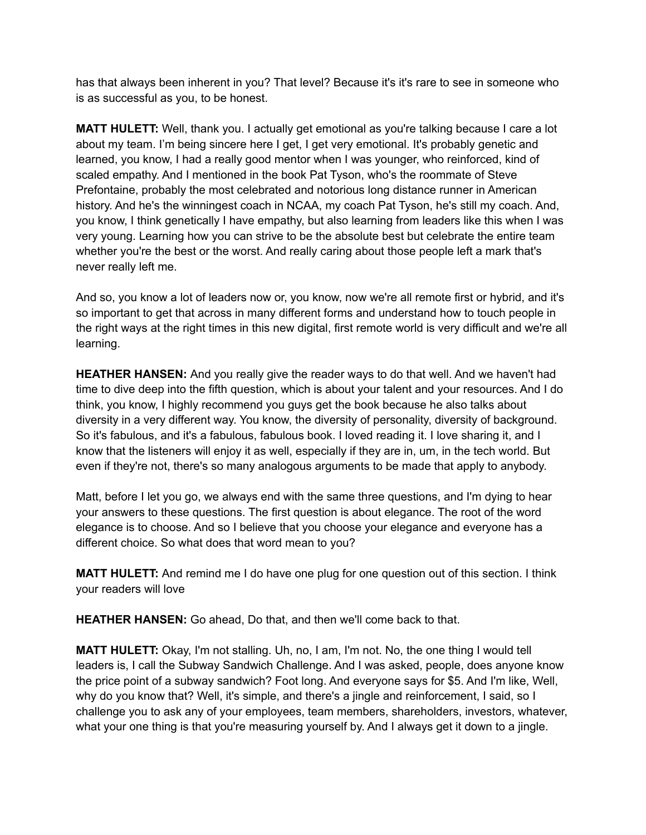has that always been inherent in you? That level? Because it's it's rare to see in someone who is as successful as you, to be honest.

**MATT HULETT:** Well, thank you. I actually get emotional as you're talking because I care a lot about my team. I'm being sincere here I get, I get very emotional. It's probably genetic and learned, you know, I had a really good mentor when I was younger, who reinforced, kind of scaled empathy. And I mentioned in the book Pat Tyson, who's the roommate of Steve Prefontaine, probably the most celebrated and notorious long distance runner in American history. And he's the winningest coach in NCAA, my coach Pat Tyson, he's still my coach. And, you know, I think genetically I have empathy, but also learning from leaders like this when I was very young. Learning how you can strive to be the absolute best but celebrate the entire team whether you're the best or the worst. And really caring about those people left a mark that's never really left me.

And so, you know a lot of leaders now or, you know, now we're all remote first or hybrid, and it's so important to get that across in many different forms and understand how to touch people in the right ways at the right times in this new digital, first remote world is very difficult and we're all learning.

**HEATHER HANSEN:** And you really give the reader ways to do that well. And we haven't had time to dive deep into the fifth question, which is about your talent and your resources. And I do think, you know, I highly recommend you guys get the book because he also talks about diversity in a very different way. You know, the diversity of personality, diversity of background. So it's fabulous, and it's a fabulous, fabulous book. I loved reading it. I love sharing it, and I know that the listeners will enjoy it as well, especially if they are in, um, in the tech world. But even if they're not, there's so many analogous arguments to be made that apply to anybody.

Matt, before I let you go, we always end with the same three questions, and I'm dying to hear your answers to these questions. The first question is about elegance. The root of the word elegance is to choose. And so I believe that you choose your elegance and everyone has a different choice. So what does that word mean to you?

**MATT HULETT:** And remind me I do have one plug for one question out of this section. I think your readers will love

**HEATHER HANSEN:** Go ahead, Do that, and then we'll come back to that.

**MATT HULETT:** Okay, I'm not stalling. Uh, no, I am, I'm not. No, the one thing I would tell leaders is, I call the Subway Sandwich Challenge. And I was asked, people, does anyone know the price point of a subway sandwich? Foot long. And everyone says for \$5. And I'm like, Well, why do you know that? Well, it's simple, and there's a jingle and reinforcement, I said, so I challenge you to ask any of your employees, team members, shareholders, investors, whatever, what your one thing is that you're measuring yourself by. And I always get it down to a jingle.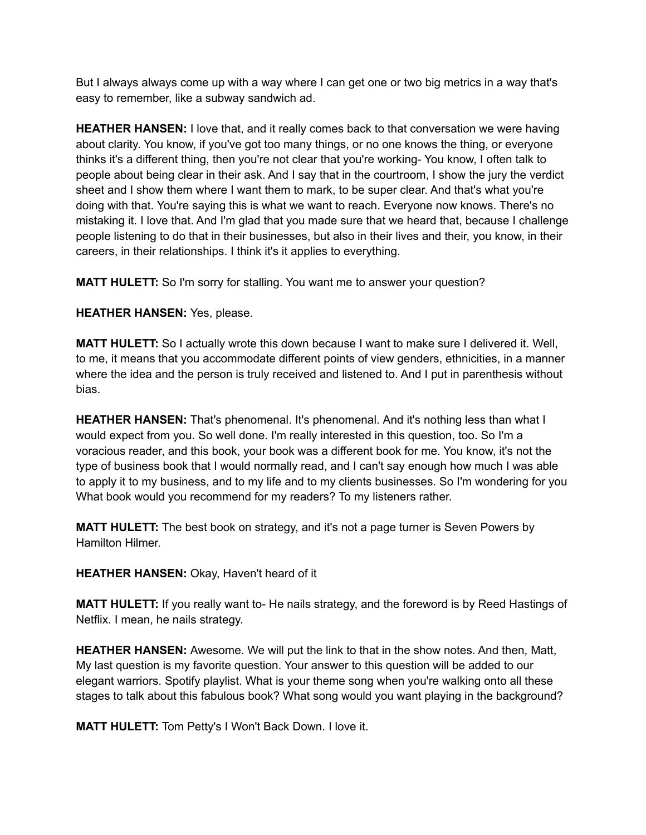But I always always come up with a way where I can get one or two big metrics in a way that's easy to remember, like a subway sandwich ad.

**HEATHER HANSEN:** I love that, and it really comes back to that conversation we were having about clarity. You know, if you've got too many things, or no one knows the thing, or everyone thinks it's a different thing, then you're not clear that you're working- You know, I often talk to people about being clear in their ask. And I say that in the courtroom, I show the jury the verdict sheet and I show them where I want them to mark, to be super clear. And that's what you're doing with that. You're saying this is what we want to reach. Everyone now knows. There's no mistaking it. I love that. And I'm glad that you made sure that we heard that, because I challenge people listening to do that in their businesses, but also in their lives and their, you know, in their careers, in their relationships. I think it's it applies to everything.

**MATT HULETT:** So I'm sorry for stalling. You want me to answer your question?

**HEATHER HANSEN:** Yes, please.

**MATT HULETT:** So I actually wrote this down because I want to make sure I delivered it. Well, to me, it means that you accommodate different points of view genders, ethnicities, in a manner where the idea and the person is truly received and listened to. And I put in parenthesis without bias.

**HEATHER HANSEN:** That's phenomenal. It's phenomenal. And it's nothing less than what I would expect from you. So well done. I'm really interested in this question, too. So I'm a voracious reader, and this book, your book was a different book for me. You know, it's not the type of business book that I would normally read, and I can't say enough how much I was able to apply it to my business, and to my life and to my clients businesses. So I'm wondering for you What book would you recommend for my readers? To my listeners rather.

**MATT HULETT:** The best book on strategy, and it's not a page turner is Seven Powers by Hamilton Hilmer.

**HEATHER HANSEN:** Okay, Haven't heard of it

**MATT HULETT:** If you really want to- He nails strategy, and the foreword is by Reed Hastings of Netflix. I mean, he nails strategy.

**HEATHER HANSEN:** Awesome. We will put the link to that in the show notes. And then, Matt, My last question is my favorite question. Your answer to this question will be added to our elegant warriors. Spotify playlist. What is your theme song when you're walking onto all these stages to talk about this fabulous book? What song would you want playing in the background?

**MATT HULETT:** Tom Petty's I Won't Back Down. I love it.